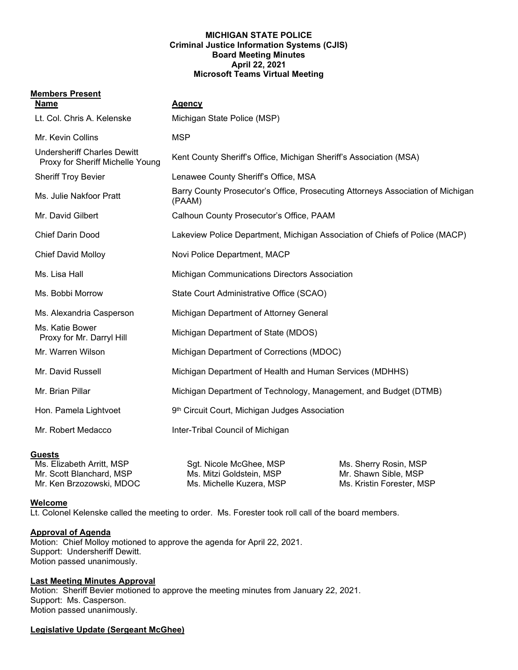#### **MICHIGAN STATE POLICE Criminal Justice Information Systems (CJIS) Board Meeting Minutes April 22, 2021 Microsoft Teams Virtual Meeting**

#### **Members Present**

| <b>Name</b>                                                            | <b>Agency</b>                                                                             |
|------------------------------------------------------------------------|-------------------------------------------------------------------------------------------|
| Lt. Col. Chris A. Kelenske                                             | Michigan State Police (MSP)                                                               |
| Mr. Kevin Collins                                                      | <b>MSP</b>                                                                                |
| <b>Undersheriff Charles Dewitt</b><br>Proxy for Sheriff Michelle Young | Kent County Sheriff's Office, Michigan Sheriff's Association (MSA)                        |
| <b>Sheriff Troy Bevier</b>                                             | Lenawee County Sheriff's Office, MSA                                                      |
| Ms. Julie Nakfoor Pratt                                                | Barry County Prosecutor's Office, Prosecuting Attorneys Association of Michigan<br>(PAAM) |
| Mr. David Gilbert                                                      | Calhoun County Prosecutor's Office, PAAM                                                  |
| <b>Chief Darin Dood</b>                                                | Lakeview Police Department, Michigan Association of Chiefs of Police (MACP)               |
| <b>Chief David Molloy</b>                                              | Novi Police Department, MACP                                                              |
| Ms. Lisa Hall                                                          | <b>Michigan Communications Directors Association</b>                                      |
| Ms. Bobbi Morrow                                                       | State Court Administrative Office (SCAO)                                                  |
| Ms. Alexandria Casperson                                               | Michigan Department of Attorney General                                                   |
| Ms. Katie Bower<br>Proxy for Mr. Darryl Hill                           | Michigan Department of State (MDOS)                                                       |
| Mr. Warren Wilson                                                      | Michigan Department of Corrections (MDOC)                                                 |
| Mr. David Russell                                                      | Michigan Department of Health and Human Services (MDHHS)                                  |
| Mr. Brian Pillar                                                       | Michigan Department of Technology, Management, and Budget (DTMB)                          |
| Hon. Pamela Lightvoet                                                  | 9th Circuit Court, Michigan Judges Association                                            |
| Mr. Robert Medacco                                                     | Inter-Tribal Council of Michigan                                                          |
|                                                                        |                                                                                           |

Ms. Sherry Rosin, MSP Mr. Shawn Sible, MSP Ms. Kristin Forester, MSP

### **Guests**

| Ms. Elizabeth Arritt, MSP | Sgt. Nicole McGhee, MSP  |
|---------------------------|--------------------------|
| Mr. Scott Blanchard, MSP  | Ms. Mitzi Goldstein. MSP |
| Mr. Ken Brzozowski, MDOC  | Ms. Michelle Kuzera, MSP |

### **Welcome**

Lt. Colonel Kelenske called the meeting to order. Ms. Forester took roll call of the board members.

### **Approval of Agenda**

Motion: Chief Molloy motioned to approve the agenda for April 22, 2021. Support: Undersheriff Dewitt. Motion passed unanimously.

# **Last Meeting Minutes Approval**

Motion: Sheriff Bevier motioned to approve the meeting minutes from January 22, 2021. Support: Ms. Casperson. Motion passed unanimously.

### **Legislative Update (Sergeant McGhee)**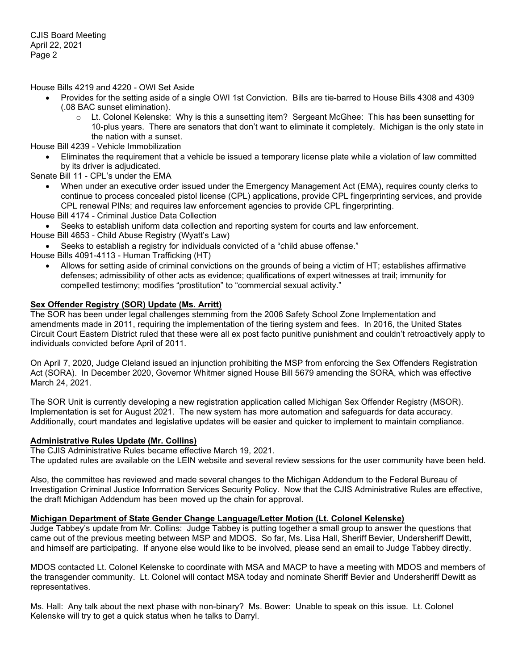House Bills 4219 and 4220 - OWI Set Aside

- Provides for the setting aside of a single OWI 1st Conviction. Bills are tie-barred to House Bills 4308 and 4309 (.08 BAC sunset elimination).
	- $\circ$  Lt. Colonel Kelenske: Why is this a sunsetting item? Sergeant McGhee: This has been sunsetting for 10-plus years. There are senators that don't want to eliminate it completely. Michigan is the only state in the nation with a sunset.

House Bill 4239 - Vehicle Immobilization

• Eliminates the requirement that a vehicle be issued a temporary license plate while a violation of law committed by its driver is adjudicated.

Senate Bill 11 - CPL's under the EMA

- When under an executive order issued under the Emergency Management Act (EMA), requires county clerks to continue to process concealed pistol license (CPL) applications, provide CPL fingerprinting services, and provide CPL renewal PINs; and requires law enforcement agencies to provide CPL fingerprinting.
- House Bill 4174 Criminal Justice Data Collection
	- Seeks to establish uniform data collection and reporting system for courts and law enforcement.
- House Bill 4653 Child Abuse Registry (Wyatt's Law)
- Seeks to establish a registry for individuals convicted of a "child abuse offense."

House Bills 4091-4113 - Human Trafficking (HT)

• Allows for setting aside of criminal convictions on the grounds of being a victim of HT; establishes affirmative defenses; admissibility of other acts as evidence; qualifications of expert witnesses at trail; immunity for compelled testimony; modifies "prostitution" to "commercial sexual activity."

# **Sex Offender Registry (SOR) Update (Ms. Arritt)**

The SOR has been under legal challenges stemming from the 2006 Safety School Zone Implementation and amendments made in 2011, requiring the implementation of the tiering system and fees. In 2016, the United States Circuit Court Eastern District ruled that these were all ex post facto punitive punishment and couldn't retroactively apply to individuals convicted before April of 2011.

On April 7, 2020, Judge Cleland issued an injunction prohibiting the MSP from enforcing the Sex Offenders Registration Act (SORA). In December 2020, Governor Whitmer signed House Bill 5679 amending the SORA, which was effective March 24, 2021.

The SOR Unit is currently developing a new registration application called Michigan Sex Offender Registry (MSOR). Implementation is set for August 2021. The new system has more automation and safeguards for data accuracy. Additionally, court mandates and legislative updates will be easier and quicker to implement to maintain compliance.

### **Administrative Rules Update (Mr. Collins)**

The CJIS Administrative Rules became effective March 19, 2021. The updated rules are available on the LEIN website and several review sessions for the user community have been held.

Also, the committee has reviewed and made several changes to the Michigan Addendum to the Federal Bureau of Investigation Criminal Justice Information Services Security Policy. Now that the CJIS Administrative Rules are effective, the draft Michigan Addendum has been moved up the chain for approval.

# **Michigan Department of State Gender Change Language/Letter Motion (Lt. Colonel Kelenske)**

Judge Tabbey's update from Mr. Collins: Judge Tabbey is putting together a small group to answer the questions that came out of the previous meeting between MSP and MDOS. So far, Ms. Lisa Hall, Sheriff Bevier, Undersheriff Dewitt, and himself are participating. If anyone else would like to be involved, please send an email to Judge Tabbey directly.

MDOS contacted Lt. Colonel Kelenske to coordinate with MSA and MACP to have a meeting with MDOS and members of the transgender community. Lt. Colonel will contact MSA today and nominate Sheriff Bevier and Undersheriff Dewitt as representatives.

Ms. Hall: Any talk about the next phase with non-binary? Ms. Bower: Unable to speak on this issue. Lt. Colonel Kelenske will try to get a quick status when he talks to Darryl.